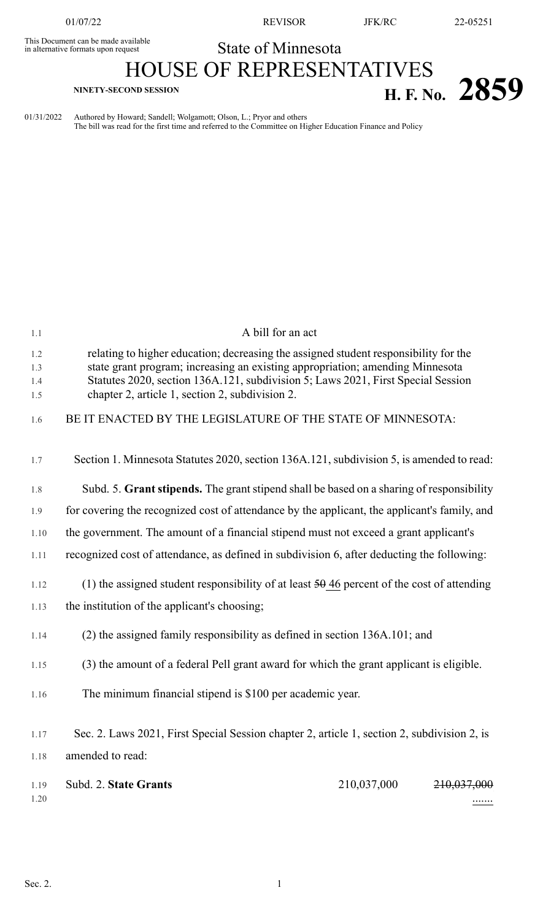This Document can be made available<br>in alternative formats upon request

01/07/22 REVISOR JFK/RC 22-05251

## State of Minnesota

## HOUSE OF REPRESENTATIVES **H. F. NO.** 2859

01/31/2022 Authored by Howard; Sandell; Wolgamott; Olson, L.; Pryor and others

The bill was read for the first time and referred to the Committee on Higher Education Finance and Policy

| relating to higher education; decreasing the assigned student responsibility for the<br>1.2<br>state grant program; increasing an existing appropriation; amending Minnesota<br>1.3<br>Statutes 2020, section 136A.121, subdivision 5; Laws 2021, First Special Session<br>1.4<br>chapter 2, article 1, section 2, subdivision 2.<br>1.5<br>BE IT ENACTED BY THE LEGISLATURE OF THE STATE OF MINNESOTA:<br>1.6<br>1.7<br>1.8<br>1.9<br>the government. The amount of a financial stipend must not exceed a grant applicant's<br>1.10<br>recognized cost of attendance, as defined in subdivision 6, after deducting the following:<br>1.11<br>(1) the assigned student responsibility of at least $\frac{50}{946}$ percent of the cost of attending<br>1.12<br>the institution of the applicant's choosing;<br>1.13<br>$(2)$ the assigned family responsibility as defined in section 136A.101; and<br>1.14<br>(3) the amount of a federal Pell grant award for which the grant applicant is eligible.<br>1.15<br>The minimum financial stipend is \$100 per academic year.<br>1.16<br>Sec. 2. Laws 2021, First Special Session chapter 2, article 1, section 2, subdivision 2, is<br>1.17<br>amended to read:<br>1.18<br>210,037,000<br>Subd. 2. State Grants<br><del>210,037,000</del><br>1.19<br>1.20 | 1.1 | A bill for an act                                                                            |
|----------------------------------------------------------------------------------------------------------------------------------------------------------------------------------------------------------------------------------------------------------------------------------------------------------------------------------------------------------------------------------------------------------------------------------------------------------------------------------------------------------------------------------------------------------------------------------------------------------------------------------------------------------------------------------------------------------------------------------------------------------------------------------------------------------------------------------------------------------------------------------------------------------------------------------------------------------------------------------------------------------------------------------------------------------------------------------------------------------------------------------------------------------------------------------------------------------------------------------------------------------------------------------------------------------|-----|----------------------------------------------------------------------------------------------|
|                                                                                                                                                                                                                                                                                                                                                                                                                                                                                                                                                                                                                                                                                                                                                                                                                                                                                                                                                                                                                                                                                                                                                                                                                                                                                                          |     |                                                                                              |
|                                                                                                                                                                                                                                                                                                                                                                                                                                                                                                                                                                                                                                                                                                                                                                                                                                                                                                                                                                                                                                                                                                                                                                                                                                                                                                          |     |                                                                                              |
|                                                                                                                                                                                                                                                                                                                                                                                                                                                                                                                                                                                                                                                                                                                                                                                                                                                                                                                                                                                                                                                                                                                                                                                                                                                                                                          |     | Section 1. Minnesota Statutes 2020, section 136A.121, subdivision 5, is amended to read:     |
|                                                                                                                                                                                                                                                                                                                                                                                                                                                                                                                                                                                                                                                                                                                                                                                                                                                                                                                                                                                                                                                                                                                                                                                                                                                                                                          |     | Subd. 5. Grant stipends. The grant stipend shall be based on a sharing of responsibility     |
|                                                                                                                                                                                                                                                                                                                                                                                                                                                                                                                                                                                                                                                                                                                                                                                                                                                                                                                                                                                                                                                                                                                                                                                                                                                                                                          |     | for covering the recognized cost of attendance by the applicant, the applicant's family, and |
|                                                                                                                                                                                                                                                                                                                                                                                                                                                                                                                                                                                                                                                                                                                                                                                                                                                                                                                                                                                                                                                                                                                                                                                                                                                                                                          |     |                                                                                              |
|                                                                                                                                                                                                                                                                                                                                                                                                                                                                                                                                                                                                                                                                                                                                                                                                                                                                                                                                                                                                                                                                                                                                                                                                                                                                                                          |     |                                                                                              |
|                                                                                                                                                                                                                                                                                                                                                                                                                                                                                                                                                                                                                                                                                                                                                                                                                                                                                                                                                                                                                                                                                                                                                                                                                                                                                                          |     |                                                                                              |
|                                                                                                                                                                                                                                                                                                                                                                                                                                                                                                                                                                                                                                                                                                                                                                                                                                                                                                                                                                                                                                                                                                                                                                                                                                                                                                          |     |                                                                                              |
|                                                                                                                                                                                                                                                                                                                                                                                                                                                                                                                                                                                                                                                                                                                                                                                                                                                                                                                                                                                                                                                                                                                                                                                                                                                                                                          |     |                                                                                              |
|                                                                                                                                                                                                                                                                                                                                                                                                                                                                                                                                                                                                                                                                                                                                                                                                                                                                                                                                                                                                                                                                                                                                                                                                                                                                                                          |     |                                                                                              |
|                                                                                                                                                                                                                                                                                                                                                                                                                                                                                                                                                                                                                                                                                                                                                                                                                                                                                                                                                                                                                                                                                                                                                                                                                                                                                                          |     |                                                                                              |
|                                                                                                                                                                                                                                                                                                                                                                                                                                                                                                                                                                                                                                                                                                                                                                                                                                                                                                                                                                                                                                                                                                                                                                                                                                                                                                          |     |                                                                                              |
|                                                                                                                                                                                                                                                                                                                                                                                                                                                                                                                                                                                                                                                                                                                                                                                                                                                                                                                                                                                                                                                                                                                                                                                                                                                                                                          |     |                                                                                              |
|                                                                                                                                                                                                                                                                                                                                                                                                                                                                                                                                                                                                                                                                                                                                                                                                                                                                                                                                                                                                                                                                                                                                                                                                                                                                                                          |     |                                                                                              |